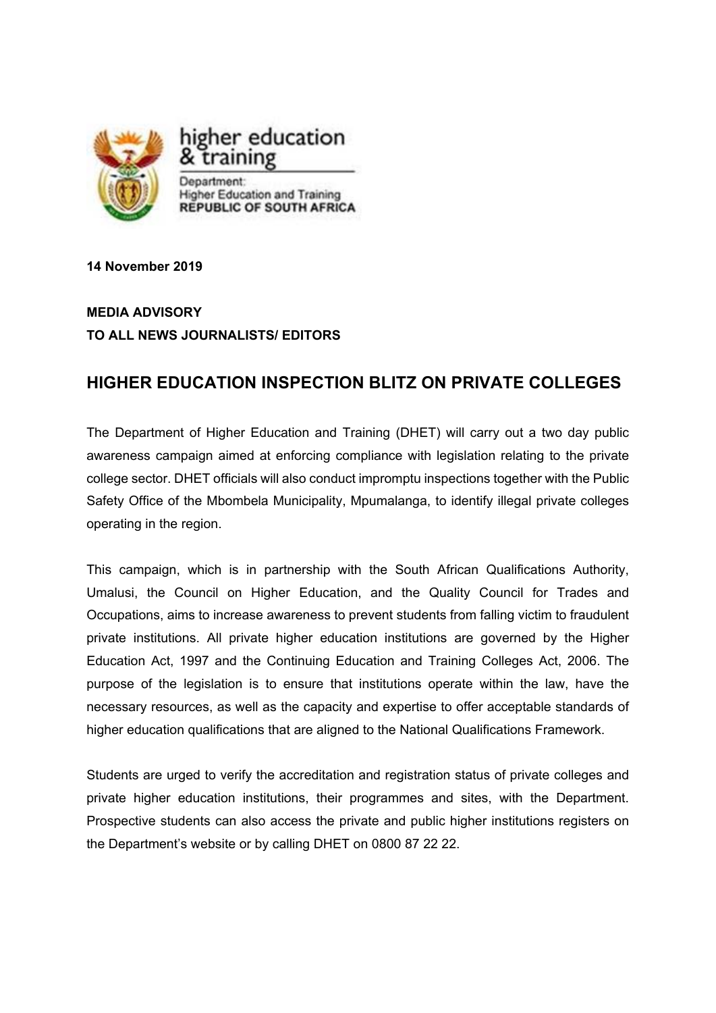

**14 November 2019** 

## **MEDIA ADVISORY TO ALL NEWS JOURNALISTS/ EDITORS**

## **HIGHER EDUCATION INSPECTION BLITZ ON PRIVATE COLLEGES**

The Department of Higher Education and Training (DHET) will carry out a two day public awareness campaign aimed at enforcing compliance with legislation relating to the private college sector. DHET officials will also conduct impromptu inspections together with the Public Safety Office of the Mbombela Municipality, Mpumalanga, to identify illegal private colleges operating in the region.

This campaign, which is in partnership with the South African Qualifications Authority, Umalusi, the Council on Higher Education, and the Quality Council for Trades and Occupations, aims to increase awareness to prevent students from falling victim to fraudulent private institutions. All private higher education institutions are governed by the Higher Education Act, 1997 and the Continuing Education and Training Colleges Act, 2006. The purpose of the legislation is to ensure that institutions operate within the law, have the necessary resources, as well as the capacity and expertise to offer acceptable standards of higher education qualifications that are aligned to the National Qualifications Framework.

Students are urged to verify the accreditation and registration status of private colleges and private higher education institutions, their programmes and sites, with the Department. Prospective students can also access the private and public higher institutions registers on the Department's website or by calling DHET on 0800 87 22 22.